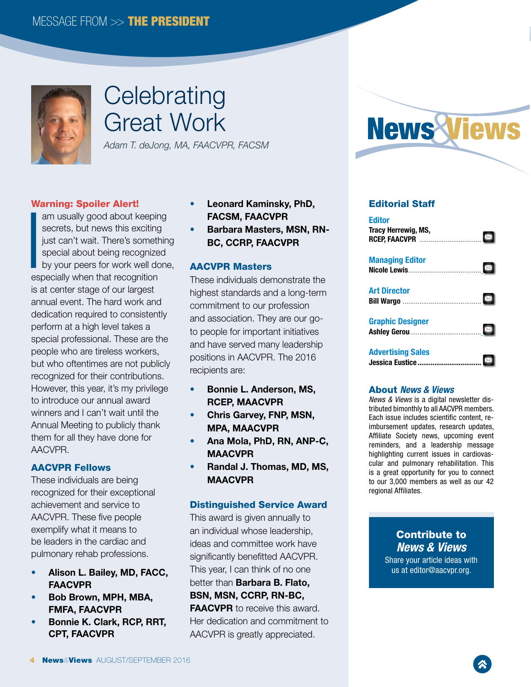

# **Celebrating** Great Work

*Adam T. deJong, MA, FAACVPR, FACSM*

## Warning: Spoiler Alert!

**I**<br>
esp am usually good about keeping secrets, but news this exciting just can't wait. There's something special about being recognized by your peers for work well done, especially when that recognition is at center stage of our largest annual event. The hard work and dedication required to consistently perform at a high level takes a special professional. These are the people who are tireless workers, but who oftentimes are not publicly recognized for their contributions. However, this year, it's my privilege to introduce our annual award winners and I can't wait until the Annual Meeting to publicly thank them for all they have done for AACVPR.

## AACVPR Fellows

These individuals are being recognized for their exceptional achievement and service to AACVPR. These five people exemplify what it means to be leaders in the cardiac and pulmonary rehab professions.

- Alison L. Bailey, MD, FACC, FAACVPR
- Bob Brown, MPH, MBA, FMFA, FAACVPR
- Bonnie K. Clark, RCP, RRT, CPT, FAACVPR
- Leonard Kaminsky, PhD, FACSM, FAACVPR
- Barbara Masters, MSN, RN-BC, CCRP, FAACVPR

#### AACVPR Masters

These individuals demonstrate the highest standards and a long-term commitment to our profession and association. They are our goto people for important initiatives and have served many leadership positions in AACVPR. The 2016 recipients are:

- Bonnie L. Anderson, MS, RCEP, MAACVPR
- Chris Garvey, FNP, MSN, MPA, MAACVPR
- Ana Mola, PhD, RN, ANP-C, MAACVPR
- Randal J. Thomas, MD, MS, MAACVPR

#### Distinguished Service Award

This award is given annually to an individual whose leadership, ideas and committee work have significantly benefitted AACVPR. This year, I can think of no one better than **Barbara B. Flato,** BSN, MSN, CCRP, RN-BC, **FAACVPR** to receive this award. Her dedication and commitment to AACVPR is greatly appreciated.



#### Editorial Staff

| <b>Editor</b><br><b>Tracy Herrewig, MS,</b> |  |
|---------------------------------------------|--|
| <b>Managing Editor</b>                      |  |
| <b>Art Director</b>                         |  |
| <b>Graphic Designer</b>                     |  |
| <b>Advertising Sales</b>                    |  |

#### About *News & Views*

*News & Views* is a digital newsletter distributed bimonthly to all AACVPR members. Each issue includes scientific content, reimbursement updates, research updates, Affiliate Society news, upcoming event reminders, and a leadership message highlighting current issues in cardiovascular and pulmonary rehabilitation. This is a great opportunity for you to connect to our 3,000 members as well as our 42 regional Affiliates.

# Contribute to *News & Views*

Share your article ideas with us at editor@aacvpr.org.